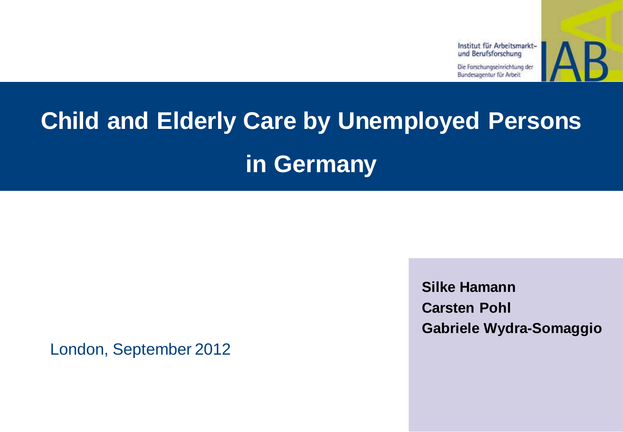

# **Child and Elderly Care by Unemployed Persons in Germany**

London, September 2012

**Silke Hamann Carsten Pohl Gabriele Wydra-Somaggio**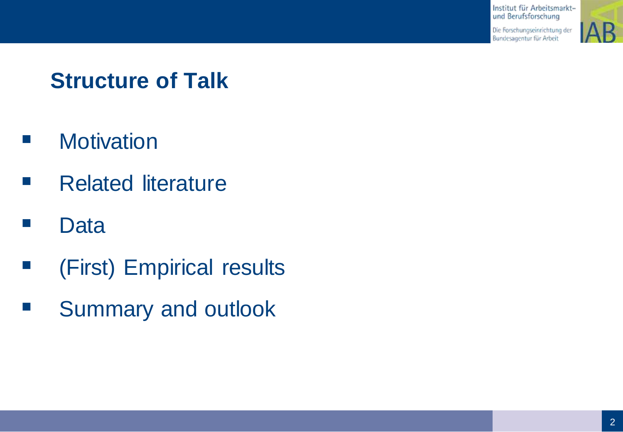Institut für Arbeitsmarktund Berufsforschung

Die Forschungseinrichtung der Bundesagentur für Arbeit



### **Structure of Talk**

- **Motivation**
- **Related literature**
- Data
- (First) Empirical results
- **Summary and outlook**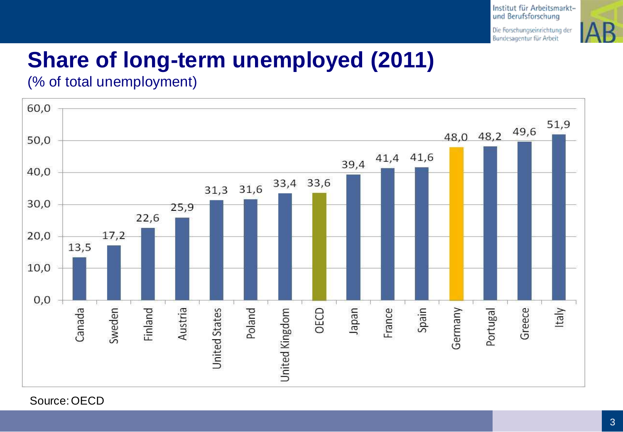Institut für Arbeitsmarktund Berufsforschung

Die Forschungseinrichtung der Bundesagentur für Arbeit



### **Share of long-term unemployed (2011)**

(% of total unemployment)



Source: OECD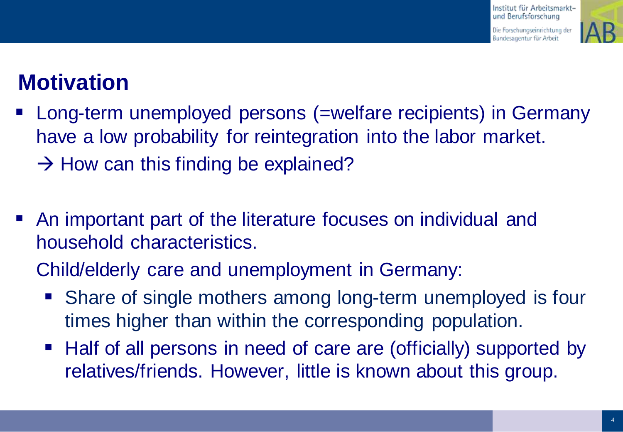

### **Motivation**

- Long-term unemployed persons (=welfare recipients) in Germany have a low probability for reintegration into the labor market.  $\rightarrow$  How can this finding be explained?
- An important part of the literature focuses on individual and household characteristics.

Child/elderly care and unemployment in Germany:

- Share of single mothers among long-term unemployed is four times higher than within the corresponding population.
- Half of all persons in need of care are (officially) supported by relatives/friends. However, little is known about this group.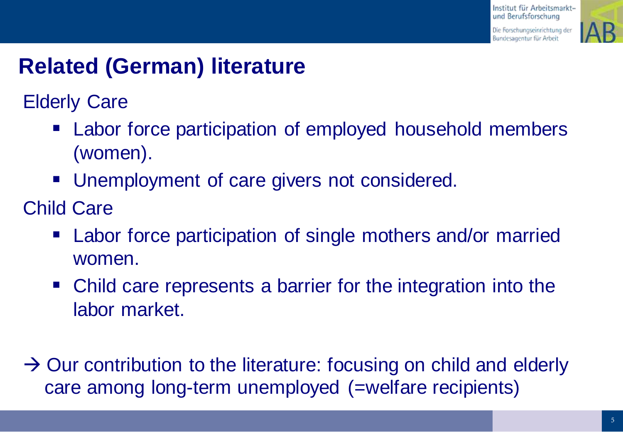

### **Related (German) literature**

Elderly Care

- Labor force participation of employed household members (women).
- **Unemployment of care givers not considered.**
- Child Care

- Labor force participation of single mothers and/or married women.
- Child care represents a barrier for the integration into the labor market.
- $\rightarrow$  Our contribution to the literature: focusing on child and elderly care among long-term unemployed (=welfare recipients)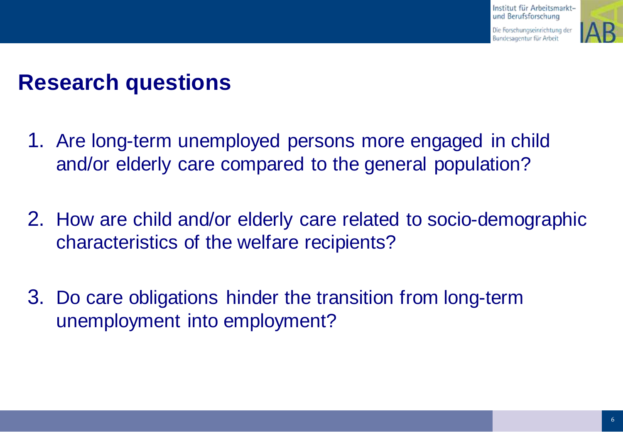

#### **Research questions**

- 1. Are long-term unemployed persons more engaged in child and/or elderly care compared to the general population?
- 2. How are child and/or elderly care related to socio-demographic characteristics of the welfare recipients?
- 3. Do care obligations hinder the transition from long-term unemployment into employment?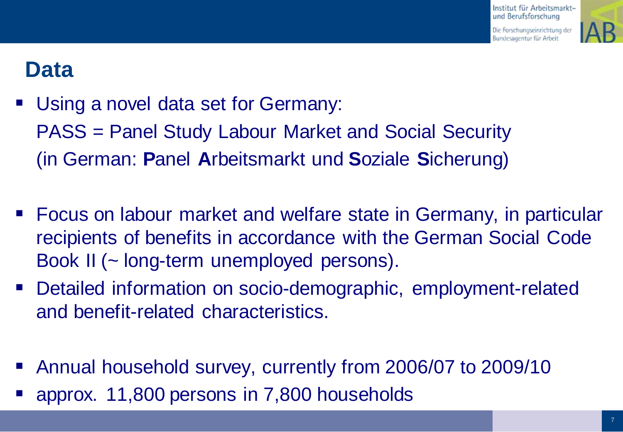

### **Data**

- Using a novel data set for Germany: PASS = Panel Study Labour Market and Social Security (in German: **P**anel **A**rbeitsmarkt und **S**oziale **S**icherung)
- Focus on labour market and welfare state in Germany, in particular recipients of benefits in accordance with the German Social Code Book II (~ long-term unemployed persons).
- Detailed information on socio-demographic, employment-related and benefit-related characteristics.
- Annual household survey, currently from 2006/07 to 2009/10
- approx. 11,800 persons in 7,800 households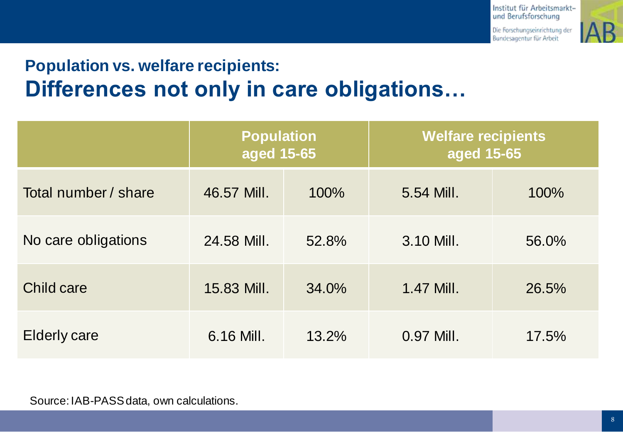

#### **Population vs. welfare recipients: Differences not only in care obligations…**

|                      | <b>Population</b><br>aged 15-65 |       | <b>Welfare recipients</b><br>aged 15-65 |       |
|----------------------|---------------------------------|-------|-----------------------------------------|-------|
| Total number / share | 46.57 Mill.                     | 100%  | 5.54 Mill.                              | 100%  |
| No care obligations  | 24.58 Mill.                     | 52.8% | 3.10 Mill.                              | 56.0% |
| <b>Child care</b>    | 15.83 Mill.                     | 34.0% | 1.47 Mill.                              | 26.5% |
| <b>Elderly care</b>  | 6.16 Mill.                      | 13.2% | 0.97 Mill.                              | 17.5% |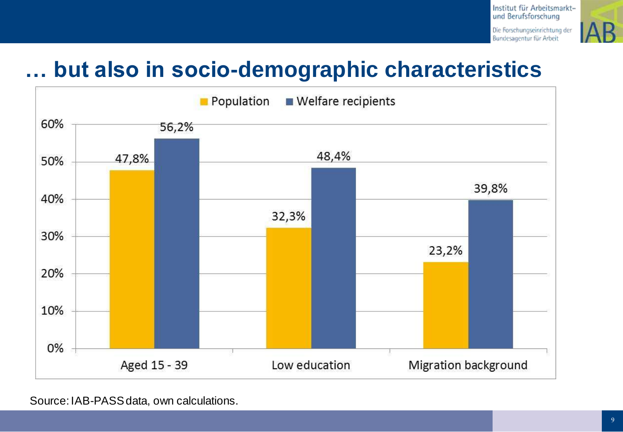

#### **… but also in socio-demographic characteristics**



Source: IAB-PASS data, own calculations.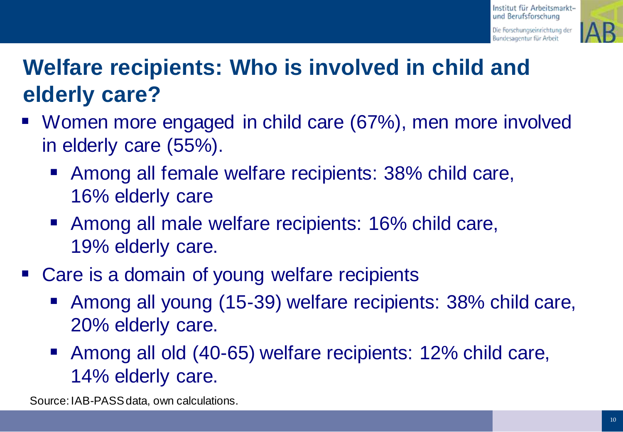

### **Welfare recipients: Who is involved in child and elderly care?**

- Women more engaged in child care (67%), men more involved in elderly care (55%).
	- Among all female welfare recipients: 38% child care, 16% elderly care
	- Among all male welfare recipients: 16% child care, 19% elderly care.
- Care is a domain of young welfare recipients
	- Among all young (15-39) welfare recipients: 38% child care, 20% elderly care.
	- Among all old (40-65) welfare recipients: 12% child care, 14% elderly care.

Source: IAB-PASS data, own calculations.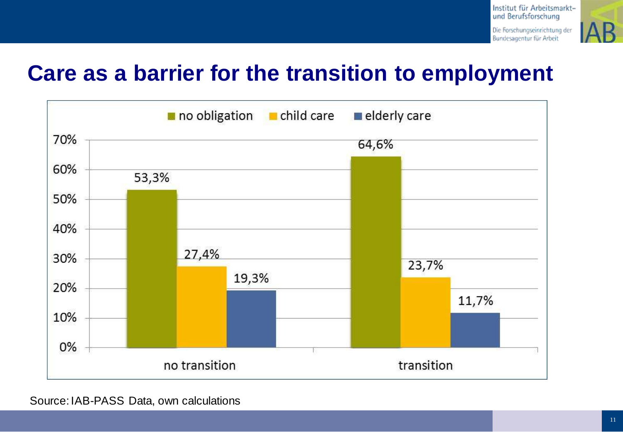#### **Care as a barrier for the transition to employment**



Source: IAB-PASS Data, own calculations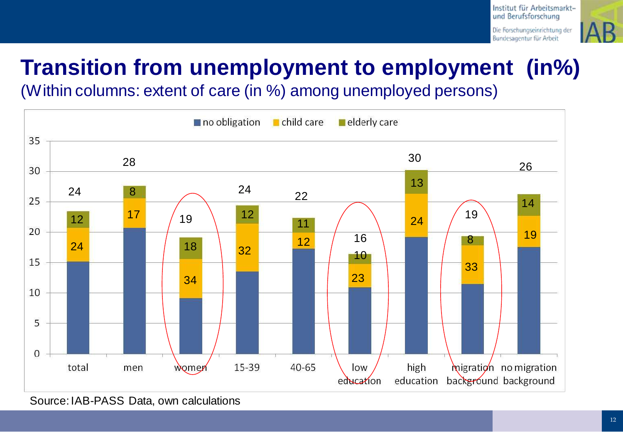Die Forschungseinrichtung der Bundesagentur für Arbeit



## **Transition from unemployment to employment (in%)**

(Within columns: extent of care (in %) among unemployed persons)



Source: IAB-PASS Data, own calculations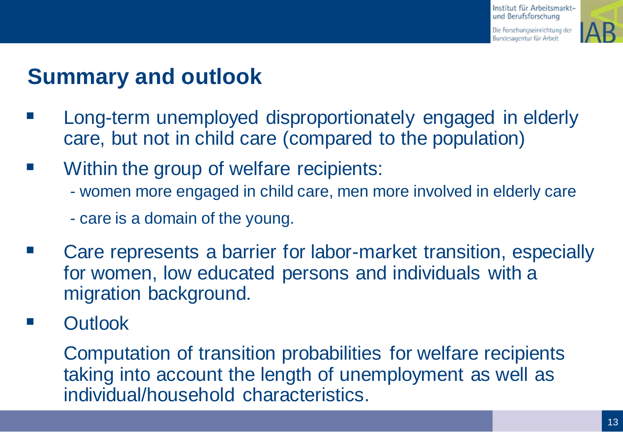

### **Summary and outlook**

- Long-term unemployed disproportionately engaged in elderly care, but not in child care (compared to the population)
- **URIDE:** Within the group of welfare recipients:
	- women more engaged in child care, men more involved in elderly care
	- care is a domain of the young.
- Care represents a barrier for labor-market transition, especially for women, low educated persons and individuals with a migration background.
- Outlook

Computation of transition probabilities for welfare recipients taking into account the length of unemployment as well as individual/household characteristics.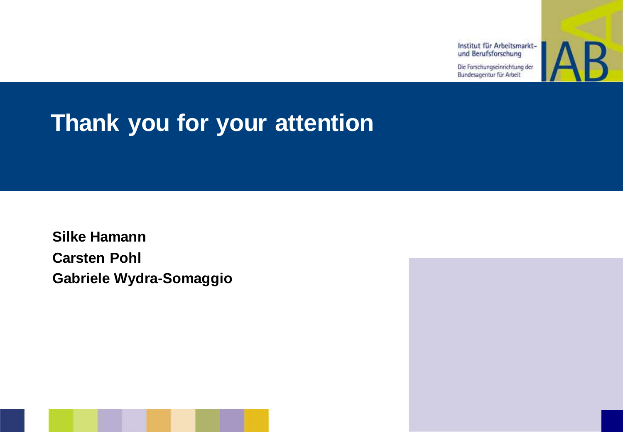Institut für Arbeitsmarktund Berufsforschung Die Forschungseinrichtung der Bundesagentur für Arbeit



**Silke Hamann Carsten Pohl Gabriele Wydra-Somaggio**

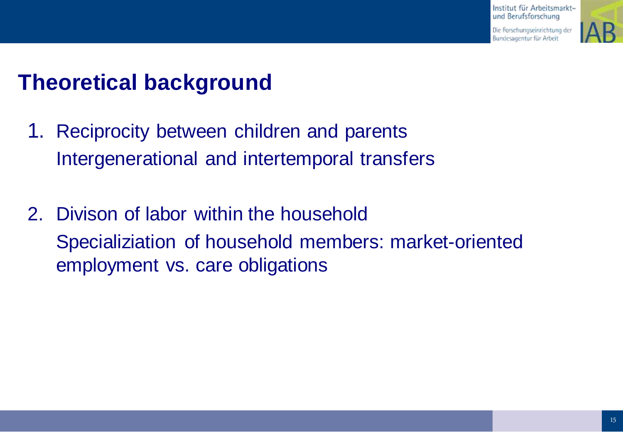

#### **Theoretical background**

- 1. Reciprocity between children and parents Intergenerational and intertemporal transfers
- 2. Divison of labor within the household Specializiation of household members: market-oriented employment vs. care obligations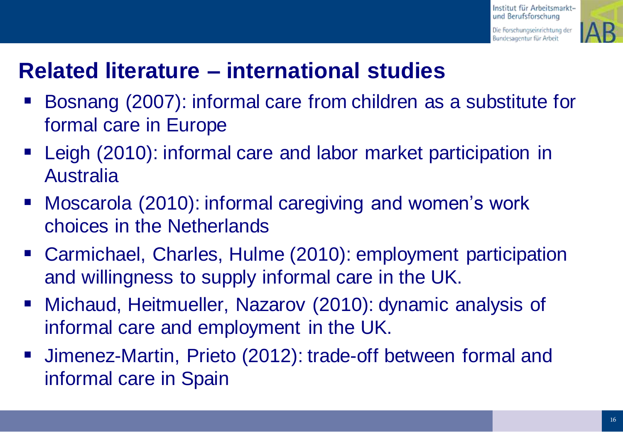

### **Related literature – international studies**

- Bosnang (2007): informal care from children as a substitute for formal care in Europe
- Leigh (2010): informal care and labor market participation in Australia
- Moscarola (2010): informal caregiving and women's work choices in the Netherlands
- Carmichael, Charles, Hulme (2010): employment participation and willingness to supply informal care in the UK.
- Michaud, Heitmueller, Nazarov (2010): dynamic analysis of informal care and employment in the UK.
- Jimenez-Martin, Prieto (2012): trade-off between formal and informal care in Spain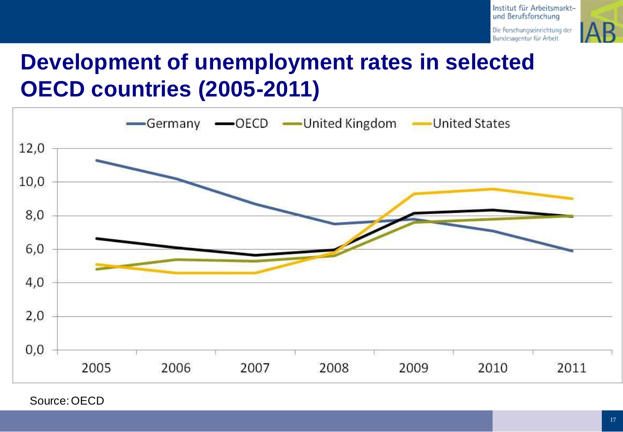

### **Development of unemployment rates in selected OECD countries (2005-2011)**



Source: OECD